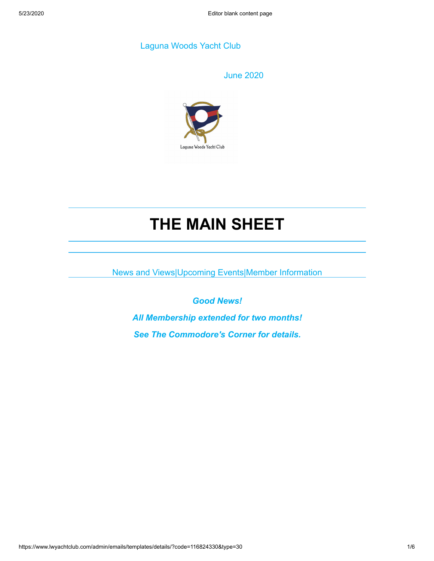# Laguna Woods Yacht Club

June 2020



# **THE MAIN SHEET**

News and Views|Upcoming Events|Member Information

*Good News! All Membership extended for two months! See The Commodore's Corner for details.*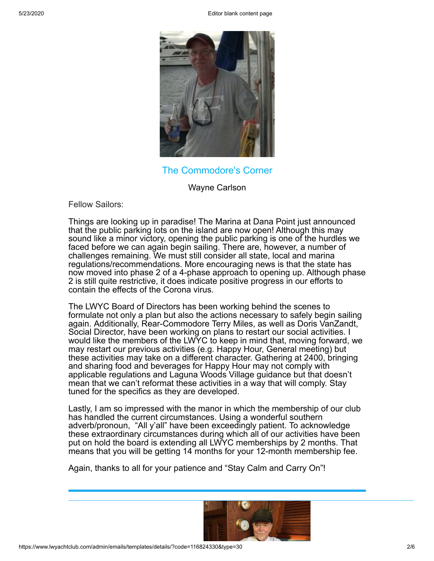5/23/2020 Editor blank content page



The Commodore's Corner

Wayne Carlson

Fellow Sailors:

Things are looking up in paradise! The Marina at Dana Point just announced that the public parking lots on the island are now open! Although this may sound like a minor victory, opening the public parking is one of the hurdles we faced before we can again begin sailing. There are, however, a number of challenges remaining. We must still consider all state, local and marina regulations/recommendations. More encouraging news is that the state has now moved into phase 2 of a 4-phase approach to opening up. Although phase 2 is still quite restrictive, it does indicate positive progress in our efforts to contain the effects of the Corona virus.

The LWYC Board of Directors has been working behind the scenes to formulate not only a plan but also the actions necessary to safely begin sailing again. Additionally, Rear-Commodore Terry Miles, as well as Doris VanZandt, Social Director, have been working on plans to restart our social activities. I would like the members of the LWYC to keep in mind that, moving forward, we may restart our previous activities (e.g. Happy Hour, General meeting) but these activities may take on a different character. Gathering at 2400, bringing and sharing food and beverages for Happy Hour may not comply with applicable regulations and Laguna Woods Village guidance but that doesn't mean that we can't reformat these activities in a way that will comply. Stay tuned for the specifics as they are developed.

Lastly, I am so impressed with the manor in which the membership of our club has handled the current circumstances. Using a wonderful southern adverb/pronoun, "All y'all" have been exceedingly patient. To acknowledge these extraordinary circumstances during which all of our activities have been put on hold the board is extending all LWYC memberships by 2 months. That means that you will be getting 14 months for your 12-month membership fee.

Again, thanks to all for your patience and "Stay Calm and Carry On"!

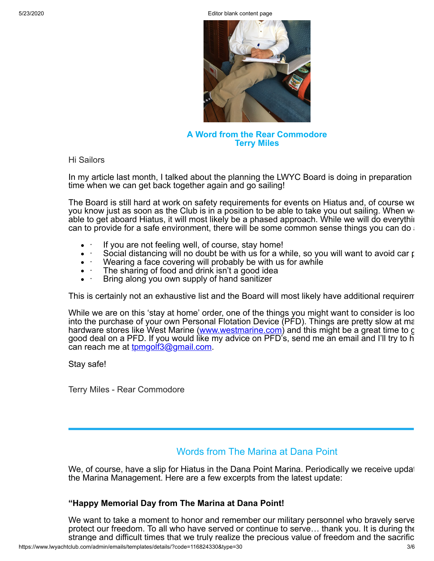5/23/2020 Editor blank content page



**A Word from the Rear Commodore Terry Miles**

Hi Sailors

In my article last month, I talked about the planning the LWYC Board is doing in preparation time when we can get back together again and go sailing!

The Board is still hard at work on safety requirements for events on Hiatus and, of course we you know just as soon as the Club is in a position to be able to take you out sailing. When  $w_0$ able to get aboard Hiatus, it will most likely be a phased approach. While we will do everythin can to provide for a safe environment, there will be some common sense things you can do  $\epsilon$ 

- If you are not feeling well, of course, stay home!
- Social distancing will no doubt be with us for a while, so you will want to avoid car position
- Wearing a face covering will probably be with us for awhile
- The sharing of food and drink isn't a good idea
- · Bring along you own supply of hand sanitizer

This is certainly not an exhaustive list and the Board will most likely have additional requirem

While we are on this 'stay at home' order, one of the things you might want to consider is loo into the purchase of your own Personal Flotation Device (PFD). Things are pretty slow at ma hardware stores like West Marine ([www.westmarine.com\)](http://www.westmarine.com/) and this might be a great time to g good deal on a PFD. If you would like my advice on PFD's, send me an email and I'll try to h can reach me at **tomgolf3@gmail.com.** 

Stay safe!

Terry Miles - Rear Commodore

# Words from The Marina at Dana Point

We, of course, have a slip for Hiatus in the Dana Point Marina. Periodically we receive updat the Marina Management. Here are a few excerpts from the latest update:

## **"Happy Memorial Day from The Marina at Dana Point!**

We want to take a moment to honor and remember our military personnel who bravely serve protect our freedom. To all who have served or continue to serve… thank you. It is during the strange and difficult times that we truly realize the precious value of freedom and the sacrific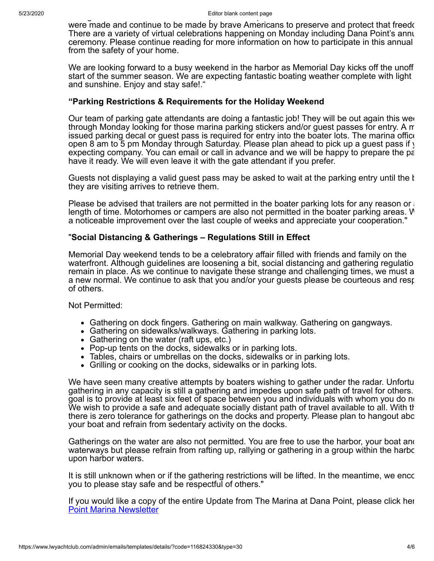were made and continue to be made by brave Americans to preserve and protect that freedo There are a variety of virtual celebrations happening on Monday including Dana Point's annu ceremony. Please continue reading for more information on how to participate in this annual from the safety of your home.

We are looking forward to a busy weekend in the harbor as Memorial Day kicks off the unoff start of the summer season. We are expecting fantastic boating weather complete with light and sunshine. Enjoy and stay safe!."

#### **"Parking Restrictions & Requirements for the Holiday Weekend**

Our team of parking gate attendants are doing a fantastic job! They will be out again this wee through Monday looking for those marina parking stickers and/or guest passes for entry. A m issued parking decal or guest pass is required for entry into the boater lots. The marina office open 8 am to 5 pm Monday through Saturday. Please plan ahead to pick up a guest pass if y expecting company. You can email or call in advance and we will be happy to prepare the pa have it ready. We will even leave it with the gate attendant if you prefer.

Guests not displaying a valid guest pass may be asked to wait at the parking entry until the b they are visiting arrives to retrieve them.

Please be advised that trailers are not permitted in the boater parking lots for any reason or  $\alpha$ length of time. Motorhomes or campers are also not permitted in the boater parking areas. W a noticeable improvement over the last couple of weeks and appreciate your cooperation."

## "**Social Distancing & Gatherings – Regulations Still in Effect**

Memorial Day weekend tends to be a celebratory affair filled with friends and family on the waterfront. Although guidelines are loosening a bit, social distancing and gathering regulatio remain in place. As we continue to navigate these strange and challenging times, we must a a new normal. We continue to ask that you and/or your guests please be courteous and resp of others.

Not Permitted:

- Gathering on dock fingers. Gathering on main walkway. Gathering on gangways.
- Gathering on sidewalks/walkways. Gathering in parking lots.
- Gathering on the water (raft ups, etc.)
- Pop-up tents on the docks, sidewalks or in parking lots.
- Tables, chairs or umbrellas on the docks, sidewalks or in parking lots.
- Grilling or cooking on the docks, sidewalks or in parking lots.

We have seen many creative attempts by boaters wishing to gather under the radar. Unfortu gathering in any capacity is still a gathering and impedes upon safe path of travel for others. goal is to provide at least six feet of space between you and individuals with whom you do no We wish to provide a safe and adequate socially distant path of travel available to all. With th there is zero tolerance for gatherings on the docks and property. Please plan to hangout abo your boat and refrain from sedentary activity on the docks.

Gatherings on the water are also not permitted. You are free to use the harbor, your boat and waterways but please refrain from rafting up, rallying or gathering in a group within the harbo upon harbor waters.

It is still unknown when or if the gathering restrictions will be lifted. In the meantime, we enco you to please stay safe and be respectful of others."

[If you would like a copy of the entire Update from The Marina at Dana Point, please click her](https://www.lwyachtclub.com/resources/Documents/Dana%20Point%20Marina%20Newsletter.pdf) Point Marina Newsletter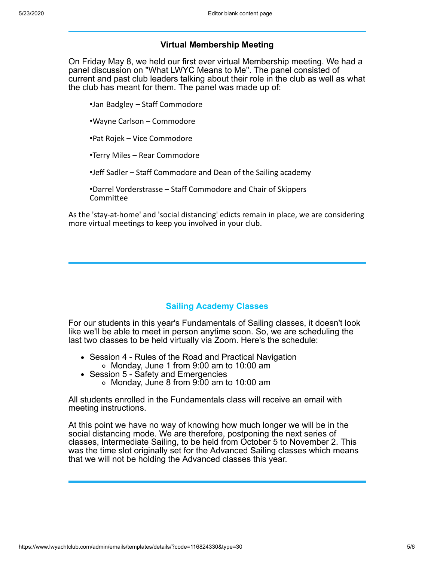# **Virtual Membership Meeting**

On Friday May 8, we held our first ever virtual Membership meeting. We had a panel discussion on "What LWYC Means to Me". The panel consisted of current and past club leaders talking about their role in the club as well as what the club has meant for them. The panel was made up of:

•Jan Badgley – Staff Commodore

•Wayne Carlson – Commodore

•Pat Rojek – Vice Commodore

•Terry Miles – Rear Commodore

•Jeff Sadler – Staff Commodore and Dean of the Sailing academy

•Darrel Vorderstrasse – Staff Commodore and Chair of Skippers Committee

As the 'stay-at-home' and 'social distancing' edicts remain in place, we are considering more virtual meetings to keep you involved in your club.

## **Sailing Academy Classes**

For our students in this year's Fundamentals of Sailing classes, it doesn't look like we'll be able to meet in person anytime soon. So, we are scheduling the last two classes to be held virtually via Zoom. Here's the schedule:

- Session 4 Rules of the Road and Practical Navigation Monday, June 1 from 9:00 am to 10:00 am
- Session 5 Safety and Emergencies Monday, June 8 from 9:00 am to 10:00 am

All students enrolled in the Fundamentals class will receive an email with meeting instructions.

At this point we have no way of knowing how much longer we will be in the social distancing mode. We are therefore, postponing the next series of classes, Intermediate Sailing, to be held from October 5 to November 2. This was the time slot originally set for the Advanced Sailing classes which means that we will not be holding the Advanced classes this year.